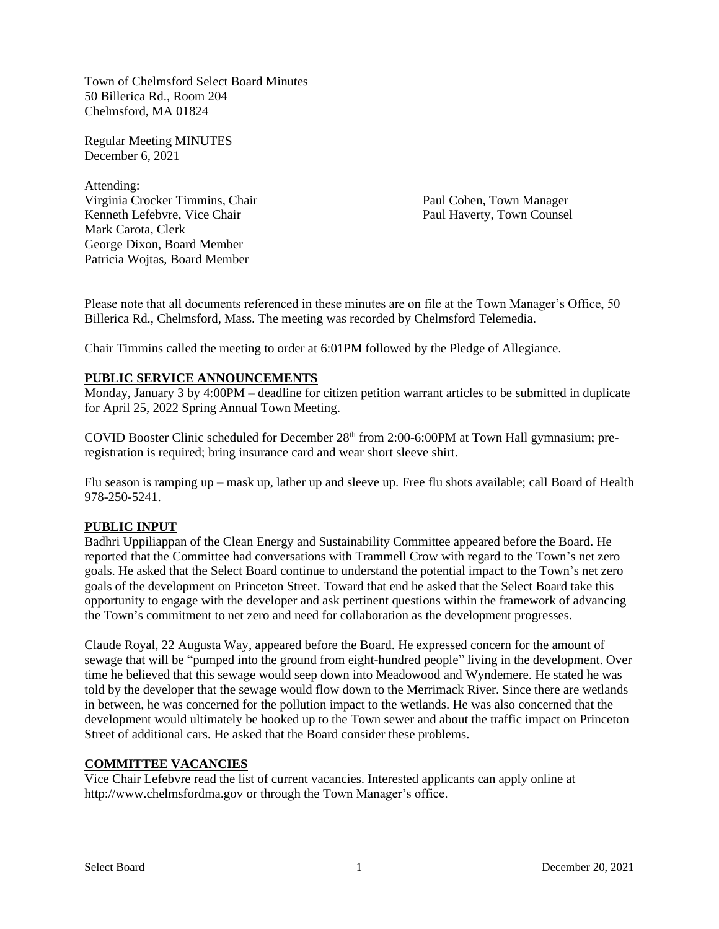Town of Chelmsford Select Board Minutes 50 Billerica Rd., Room 204 Chelmsford, MA 01824

Regular Meeting MINUTES December 6, 2021

Attending: Virginia Crocker Timmins, Chair Paul Cohen, Town Manager Kenneth Lefebvre, Vice Chair **Paul Haverty, Town Counsel** Mark Carota, Clerk George Dixon, Board Member Patricia Wojtas, Board Member

Please note that all documents referenced in these minutes are on file at the Town Manager's Office, 50 Billerica Rd., Chelmsford, Mass. The meeting was recorded by Chelmsford Telemedia.

Chair Timmins called the meeting to order at 6:01PM followed by the Pledge of Allegiance.

### **PUBLIC SERVICE ANNOUNCEMENTS**

Monday, January 3 by 4:00PM – deadline for citizen petition warrant articles to be submitted in duplicate for April 25, 2022 Spring Annual Town Meeting.

COVID Booster Clinic scheduled for December 28<sup>th</sup> from 2:00-6:00PM at Town Hall gymnasium; preregistration is required; bring insurance card and wear short sleeve shirt.

Flu season is ramping up – mask up, lather up and sleeve up. Free flu shots available; call Board of Health 978-250-5241.

## **PUBLIC INPUT**

Badhri Uppiliappan of the Clean Energy and Sustainability Committee appeared before the Board. He reported that the Committee had conversations with Trammell Crow with regard to the Town's net zero goals. He asked that the Select Board continue to understand the potential impact to the Town's net zero goals of the development on Princeton Street. Toward that end he asked that the Select Board take this opportunity to engage with the developer and ask pertinent questions within the framework of advancing the Town's commitment to net zero and need for collaboration as the development progresses.

Claude Royal, 22 Augusta Way, appeared before the Board. He expressed concern for the amount of sewage that will be "pumped into the ground from eight-hundred people" living in the development. Over time he believed that this sewage would seep down into Meadowood and Wyndemere. He stated he was told by the developer that the sewage would flow down to the Merrimack River. Since there are wetlands in between, he was concerned for the pollution impact to the wetlands. He was also concerned that the development would ultimately be hooked up to the Town sewer and about the traffic impact on Princeton Street of additional cars. He asked that the Board consider these problems.

### **COMMITTEE VACANCIES**

Vice Chair Lefebvre read the list of current vacancies. Interested applicants can apply online at http://www.chelmsfordma.gov or through the Town Manager's office.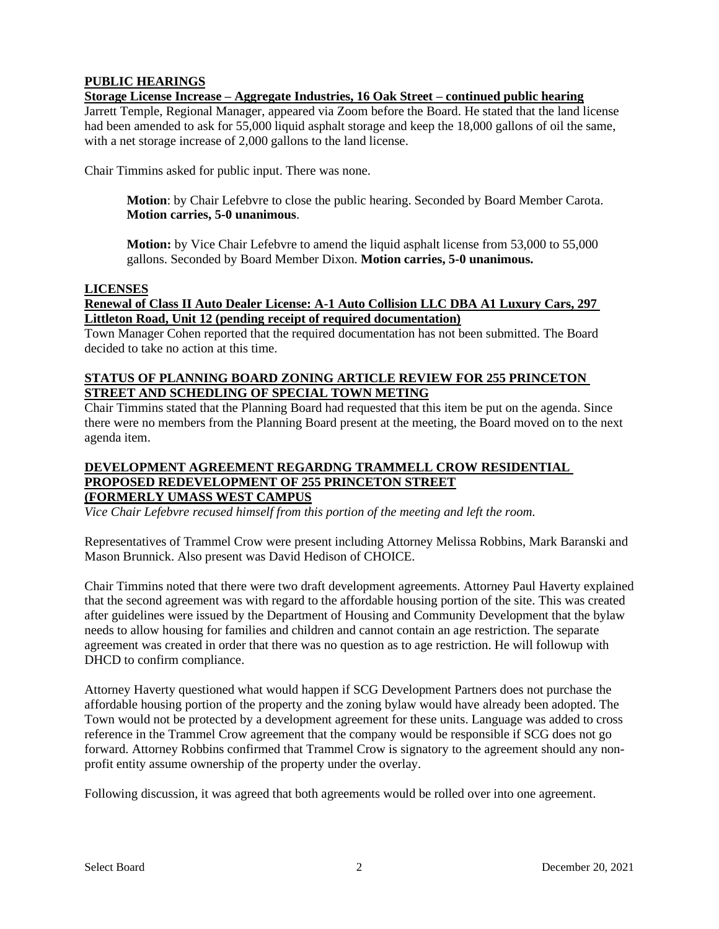# **PUBLIC HEARINGS**

## **Storage License Increase – Aggregate Industries, 16 Oak Street – continued public hearing**

Jarrett Temple, Regional Manager, appeared via Zoom before the Board. He stated that the land license had been amended to ask for 55,000 liquid asphalt storage and keep the 18,000 gallons of oil the same, with a net storage increase of 2,000 gallons to the land license.

Chair Timmins asked for public input. There was none.

**Motion**: by Chair Lefebvre to close the public hearing. Seconded by Board Member Carota. **Motion carries, 5-0 unanimous**.

**Motion:** by Vice Chair Lefebvre to amend the liquid asphalt license from 53,000 to 55,000 gallons. Seconded by Board Member Dixon. **Motion carries, 5-0 unanimous.**

## **LICENSES**

## **Renewal of Class II Auto Dealer License: A-1 Auto Collision LLC DBA A1 Luxury Cars, 297 Littleton Road, Unit 12 (pending receipt of required documentation)**

Town Manager Cohen reported that the required documentation has not been submitted. The Board decided to take no action at this time.

## **STATUS OF PLANNING BOARD ZONING ARTICLE REVIEW FOR 255 PRINCETON STREET AND SCHEDLING OF SPECIAL TOWN METING**

Chair Timmins stated that the Planning Board had requested that this item be put on the agenda. Since there were no members from the Planning Board present at the meeting, the Board moved on to the next agenda item.

## **DEVELOPMENT AGREEMENT REGARDNG TRAMMELL CROW RESIDENTIAL PROPOSED REDEVELOPMENT OF 255 PRINCETON STREET (FORMERLY UMASS WEST CAMPUS**

*Vice Chair Lefebvre recused himself from this portion of the meeting and left the room.*

Representatives of Trammel Crow were present including Attorney Melissa Robbins, Mark Baranski and Mason Brunnick. Also present was David Hedison of CHOICE.

Chair Timmins noted that there were two draft development agreements. Attorney Paul Haverty explained that the second agreement was with regard to the affordable housing portion of the site. This was created after guidelines were issued by the Department of Housing and Community Development that the bylaw needs to allow housing for families and children and cannot contain an age restriction. The separate agreement was created in order that there was no question as to age restriction. He will followup with DHCD to confirm compliance.

Attorney Haverty questioned what would happen if SCG Development Partners does not purchase the affordable housing portion of the property and the zoning bylaw would have already been adopted. The Town would not be protected by a development agreement for these units. Language was added to cross reference in the Trammel Crow agreement that the company would be responsible if SCG does not go forward. Attorney Robbins confirmed that Trammel Crow is signatory to the agreement should any nonprofit entity assume ownership of the property under the overlay.

Following discussion, it was agreed that both agreements would be rolled over into one agreement.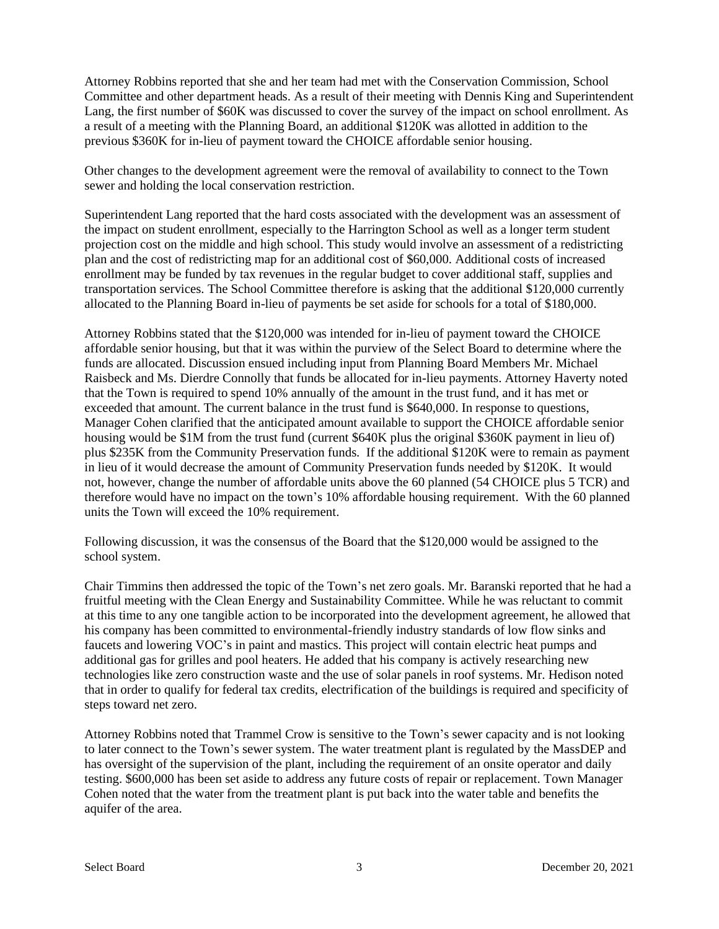Attorney Robbins reported that she and her team had met with the Conservation Commission, School Committee and other department heads. As a result of their meeting with Dennis King and Superintendent Lang, the first number of \$60K was discussed to cover the survey of the impact on school enrollment. As a result of a meeting with the Planning Board, an additional \$120K was allotted in addition to the previous \$360K for in-lieu of payment toward the CHOICE affordable senior housing.

Other changes to the development agreement were the removal of availability to connect to the Town sewer and holding the local conservation restriction.

Superintendent Lang reported that the hard costs associated with the development was an assessment of the impact on student enrollment, especially to the Harrington School as well as a longer term student projection cost on the middle and high school. This study would involve an assessment of a redistricting plan and the cost of redistricting map for an additional cost of \$60,000. Additional costs of increased enrollment may be funded by tax revenues in the regular budget to cover additional staff, supplies and transportation services. The School Committee therefore is asking that the additional \$120,000 currently allocated to the Planning Board in-lieu of payments be set aside for schools for a total of \$180,000.

Attorney Robbins stated that the \$120,000 was intended for in-lieu of payment toward the CHOICE affordable senior housing, but that it was within the purview of the Select Board to determine where the funds are allocated. Discussion ensued including input from Planning Board Members Mr. Michael Raisbeck and Ms. Dierdre Connolly that funds be allocated for in-lieu payments. Attorney Haverty noted that the Town is required to spend 10% annually of the amount in the trust fund, and it has met or exceeded that amount. The current balance in the trust fund is \$640,000. In response to questions, Manager Cohen clarified that the anticipated amount available to support the CHOICE affordable senior housing would be \$1M from the trust fund (current \$640K plus the original \$360K payment in lieu of) plus \$235K from the Community Preservation funds. If the additional \$120K were to remain as payment in lieu of it would decrease the amount of Community Preservation funds needed by \$120K. It would not, however, change the number of affordable units above the 60 planned (54 CHOICE plus 5 TCR) and therefore would have no impact on the town's 10% affordable housing requirement. With the 60 planned units the Town will exceed the 10% requirement.

Following discussion, it was the consensus of the Board that the \$120,000 would be assigned to the school system.

Chair Timmins then addressed the topic of the Town's net zero goals. Mr. Baranski reported that he had a fruitful meeting with the Clean Energy and Sustainability Committee. While he was reluctant to commit at this time to any one tangible action to be incorporated into the development agreement, he allowed that his company has been committed to environmental-friendly industry standards of low flow sinks and faucets and lowering VOC's in paint and mastics. This project will contain electric heat pumps and additional gas for grilles and pool heaters. He added that his company is actively researching new technologies like zero construction waste and the use of solar panels in roof systems. Mr. Hedison noted that in order to qualify for federal tax credits, electrification of the buildings is required and specificity of steps toward net zero.

Attorney Robbins noted that Trammel Crow is sensitive to the Town's sewer capacity and is not looking to later connect to the Town's sewer system. The water treatment plant is regulated by the MassDEP and has oversight of the supervision of the plant, including the requirement of an onsite operator and daily testing. \$600,000 has been set aside to address any future costs of repair or replacement. Town Manager Cohen noted that the water from the treatment plant is put back into the water table and benefits the aquifer of the area.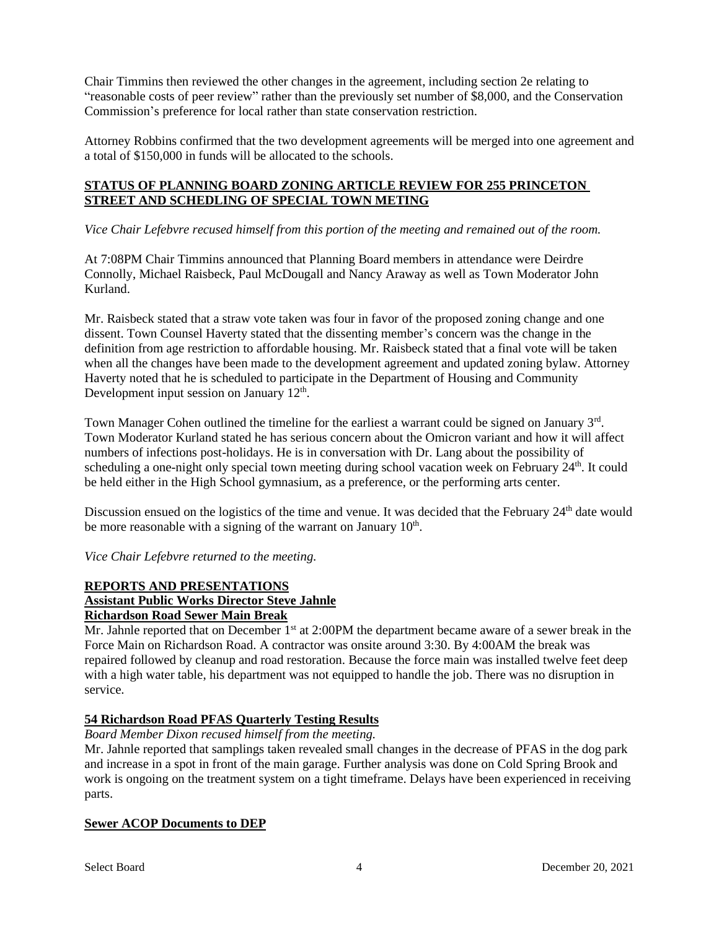Chair Timmins then reviewed the other changes in the agreement, including section 2e relating to "reasonable costs of peer review" rather than the previously set number of \$8,000, and the Conservation Commission's preference for local rather than state conservation restriction.

Attorney Robbins confirmed that the two development agreements will be merged into one agreement and a total of \$150,000 in funds will be allocated to the schools.

## **STATUS OF PLANNING BOARD ZONING ARTICLE REVIEW FOR 255 PRINCETON STREET AND SCHEDLING OF SPECIAL TOWN METING**

*Vice Chair Lefebvre recused himself from this portion of the meeting and remained out of the room.*

At 7:08PM Chair Timmins announced that Planning Board members in attendance were Deirdre Connolly, Michael Raisbeck, Paul McDougall and Nancy Araway as well as Town Moderator John Kurland.

Mr. Raisbeck stated that a straw vote taken was four in favor of the proposed zoning change and one dissent. Town Counsel Haverty stated that the dissenting member's concern was the change in the definition from age restriction to affordable housing. Mr. Raisbeck stated that a final vote will be taken when all the changes have been made to the development agreement and updated zoning bylaw. Attorney Haverty noted that he is scheduled to participate in the Department of Housing and Community Development input session on January 12<sup>th</sup>.

Town Manager Cohen outlined the timeline for the earliest a warrant could be signed on January 3<sup>rd</sup>. Town Moderator Kurland stated he has serious concern about the Omicron variant and how it will affect numbers of infections post-holidays. He is in conversation with Dr. Lang about the possibility of scheduling a one-night only special town meeting during school vacation week on February 24<sup>th</sup>. It could be held either in the High School gymnasium, as a preference, or the performing arts center.

Discussion ensued on the logistics of the time and venue. It was decided that the February 24<sup>th</sup> date would be more reasonable with a signing of the warrant on January  $10<sup>th</sup>$ .

*Vice Chair Lefebvre returned to the meeting.*

## **REPORTS AND PRESENTATIONS**

## **Assistant Public Works Director Steve Jahnle**

## **Richardson Road Sewer Main Break**

Mr. Jahnle reported that on December 1<sup>st</sup> at 2:00PM the department became aware of a sewer break in the Force Main on Richardson Road. A contractor was onsite around 3:30. By 4:00AM the break was repaired followed by cleanup and road restoration. Because the force main was installed twelve feet deep with a high water table, his department was not equipped to handle the job. There was no disruption in service.

## **54 Richardson Road PFAS Quarterly Testing Results**

*Board Member Dixon recused himself from the meeting.*

Mr. Jahnle reported that samplings taken revealed small changes in the decrease of PFAS in the dog park and increase in a spot in front of the main garage. Further analysis was done on Cold Spring Brook and work is ongoing on the treatment system on a tight timeframe. Delays have been experienced in receiving parts.

## **Sewer ACOP Documents to DEP**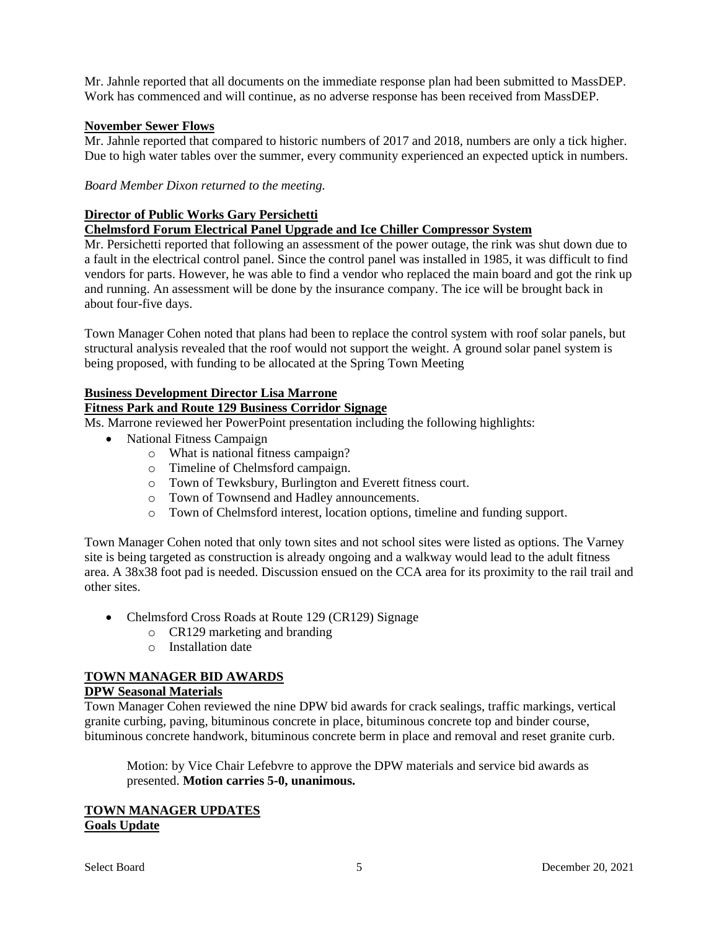Mr. Jahnle reported that all documents on the immediate response plan had been submitted to MassDEP. Work has commenced and will continue, as no adverse response has been received from MassDEP.

## **November Sewer Flows**

Mr. Jahnle reported that compared to historic numbers of 2017 and 2018, numbers are only a tick higher. Due to high water tables over the summer, every community experienced an expected uptick in numbers.

*Board Member Dixon returned to the meeting.*

### **Director of Public Works Gary Persichetti**

## **Chelmsford Forum Electrical Panel Upgrade and Ice Chiller Compressor System**

Mr. Persichetti reported that following an assessment of the power outage, the rink was shut down due to a fault in the electrical control panel. Since the control panel was installed in 1985, it was difficult to find vendors for parts. However, he was able to find a vendor who replaced the main board and got the rink up and running. An assessment will be done by the insurance company. The ice will be brought back in about four-five days.

Town Manager Cohen noted that plans had been to replace the control system with roof solar panels, but structural analysis revealed that the roof would not support the weight. A ground solar panel system is being proposed, with funding to be allocated at the Spring Town Meeting

## **Business Development Director Lisa Marrone**

# **Fitness Park and Route 129 Business Corridor Signage**

Ms. Marrone reviewed her PowerPoint presentation including the following highlights:

- National Fitness Campaign
	- o What is national fitness campaign?
	- o Timeline of Chelmsford campaign.
	- o Town of Tewksbury, Burlington and Everett fitness court.
	- o Town of Townsend and Hadley announcements.
	- o Town of Chelmsford interest, location options, timeline and funding support.

Town Manager Cohen noted that only town sites and not school sites were listed as options. The Varney site is being targeted as construction is already ongoing and a walkway would lead to the adult fitness area. A 38x38 foot pad is needed. Discussion ensued on the CCA area for its proximity to the rail trail and other sites.

- Chelmsford Cross Roads at Route 129 (CR129) Signage
	- o CR129 marketing and branding
	- o Installation date

## **TOWN MANAGER BID AWARDS**

## **DPW Seasonal Materials**

Town Manager Cohen reviewed the nine DPW bid awards for crack sealings, traffic markings, vertical granite curbing, paving, bituminous concrete in place, bituminous concrete top and binder course, bituminous concrete handwork, bituminous concrete berm in place and removal and reset granite curb.

Motion: by Vice Chair Lefebvre to approve the DPW materials and service bid awards as presented. **Motion carries 5-0, unanimous.**

### **TOWN MANAGER UPDATES Goals Update**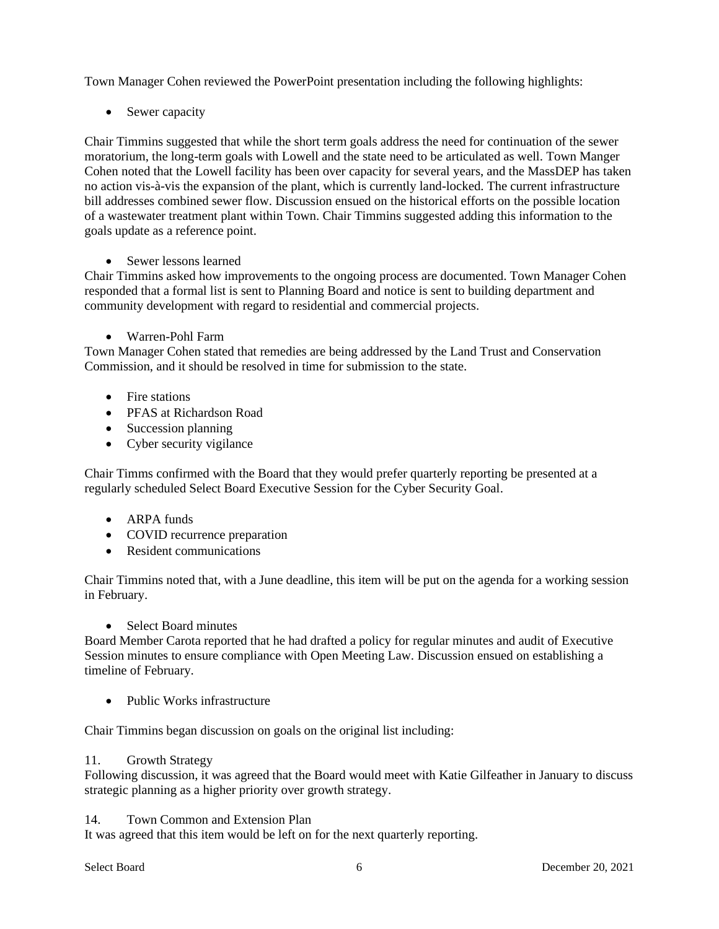Town Manager Cohen reviewed the PowerPoint presentation including the following highlights:

• Sewer capacity

Chair Timmins suggested that while the short term goals address the need for continuation of the sewer moratorium, the long-term goals with Lowell and the state need to be articulated as well. Town Manger Cohen noted that the Lowell facility has been over capacity for several years, and the MassDEP has taken no action vis-à-vis the expansion of the plant, which is currently land-locked. The current infrastructure bill addresses combined sewer flow. Discussion ensued on the historical efforts on the possible location of a wastewater treatment plant within Town. Chair Timmins suggested adding this information to the goals update as a reference point.

• Sewer lessons learned

Chair Timmins asked how improvements to the ongoing process are documented. Town Manager Cohen responded that a formal list is sent to Planning Board and notice is sent to building department and community development with regard to residential and commercial projects.

• Warren-Pohl Farm

Town Manager Cohen stated that remedies are being addressed by the Land Trust and Conservation Commission, and it should be resolved in time for submission to the state.

- Fire stations
- PFAS at Richardson Road
- Succession planning
- Cyber security vigilance

Chair Timms confirmed with the Board that they would prefer quarterly reporting be presented at a regularly scheduled Select Board Executive Session for the Cyber Security Goal.

- ARPA funds
- COVID recurrence preparation
- Resident communications

Chair Timmins noted that, with a June deadline, this item will be put on the agenda for a working session in February.

• Select Board minutes

Board Member Carota reported that he had drafted a policy for regular minutes and audit of Executive Session minutes to ensure compliance with Open Meeting Law. Discussion ensued on establishing a timeline of February.

• Public Works infrastructure

Chair Timmins began discussion on goals on the original list including:

## 11. Growth Strategy

Following discussion, it was agreed that the Board would meet with Katie Gilfeather in January to discuss strategic planning as a higher priority over growth strategy.

14. Town Common and Extension Plan

It was agreed that this item would be left on for the next quarterly reporting.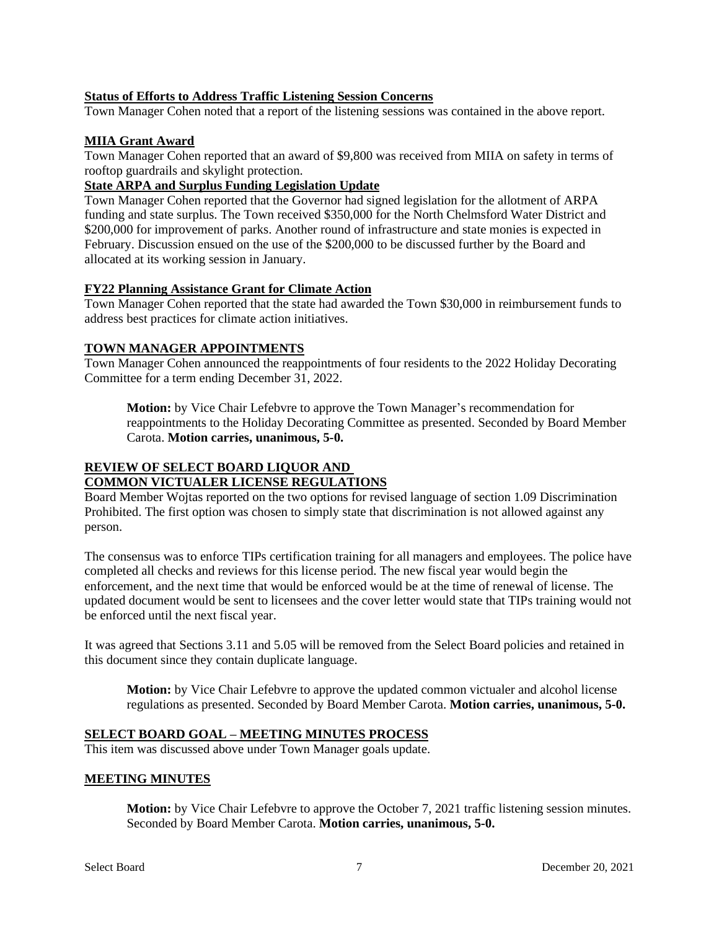## **Status of Efforts to Address Traffic Listening Session Concerns**

Town Manager Cohen noted that a report of the listening sessions was contained in the above report.

## **MIIA Grant Award**

Town Manager Cohen reported that an award of \$9,800 was received from MIIA on safety in terms of rooftop guardrails and skylight protection.

## **State ARPA and Surplus Funding Legislation Update**

Town Manager Cohen reported that the Governor had signed legislation for the allotment of ARPA funding and state surplus. The Town received \$350,000 for the North Chelmsford Water District and \$200,000 for improvement of parks. Another round of infrastructure and state monies is expected in February. Discussion ensued on the use of the \$200,000 to be discussed further by the Board and allocated at its working session in January.

## **FY22 Planning Assistance Grant for Climate Action**

Town Manager Cohen reported that the state had awarded the Town \$30,000 in reimbursement funds to address best practices for climate action initiatives.

## **TOWN MANAGER APPOINTMENTS**

Town Manager Cohen announced the reappointments of four residents to the 2022 Holiday Decorating Committee for a term ending December 31, 2022.

**Motion:** by Vice Chair Lefebvre to approve the Town Manager's recommendation for reappointments to the Holiday Decorating Committee as presented. Seconded by Board Member Carota. **Motion carries, unanimous, 5-0.**

#### **REVIEW OF SELECT BOARD LIQUOR AND COMMON VICTUALER LICENSE REGULATIONS**

Board Member Wojtas reported on the two options for revised language of section 1.09 Discrimination Prohibited. The first option was chosen to simply state that discrimination is not allowed against any person.

The consensus was to enforce TIPs certification training for all managers and employees. The police have completed all checks and reviews for this license period. The new fiscal year would begin the enforcement, and the next time that would be enforced would be at the time of renewal of license. The updated document would be sent to licensees and the cover letter would state that TIPs training would not be enforced until the next fiscal year.

It was agreed that Sections 3.11 and 5.05 will be removed from the Select Board policies and retained in this document since they contain duplicate language.

**Motion:** by Vice Chair Lefebvre to approve the updated common victualer and alcohol license regulations as presented. Seconded by Board Member Carota. **Motion carries, unanimous, 5-0.**

## **SELECT BOARD GOAL – MEETING MINUTES PROCESS**

This item was discussed above under Town Manager goals update.

## **MEETING MINUTES**

**Motion:** by Vice Chair Lefebvre to approve the October 7, 2021 traffic listening session minutes. Seconded by Board Member Carota. **Motion carries, unanimous, 5-0.**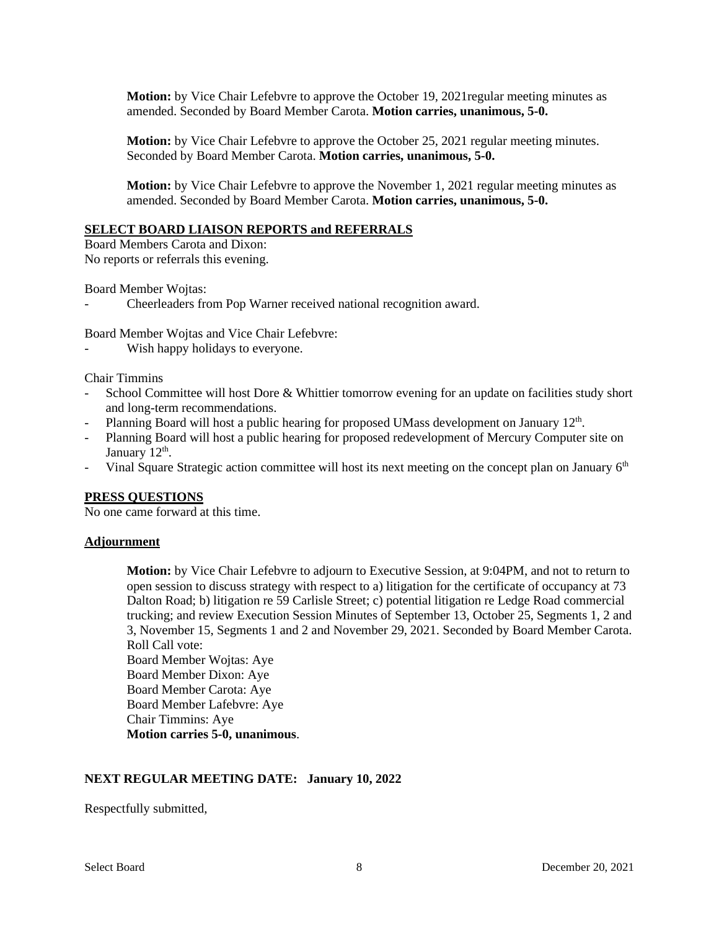**Motion:** by Vice Chair Lefebvre to approve the October 19, 2021regular meeting minutes as amended. Seconded by Board Member Carota. **Motion carries, unanimous, 5-0.**

**Motion:** by Vice Chair Lefebvre to approve the October 25, 2021 regular meeting minutes. Seconded by Board Member Carota. **Motion carries, unanimous, 5-0.**

**Motion:** by Vice Chair Lefebvre to approve the November 1, 2021 regular meeting minutes as amended. Seconded by Board Member Carota. **Motion carries, unanimous, 5-0.**

#### **SELECT BOARD LIAISON REPORTS and REFERRALS**

Board Members Carota and Dixon: No reports or referrals this evening.

Board Member Wojtas:

- Cheerleaders from Pop Warner received national recognition award.

Board Member Wojtas and Vice Chair Lefebvre:

Wish happy holidays to everyone.

Chair Timmins

- School Committee will host Dore & Whittier tomorrow evening for an update on facilities study short and long-term recommendations.
- Planning Board will host a public hearing for proposed UMass development on January  $12<sup>th</sup>$ .
- Planning Board will host a public hearing for proposed redevelopment of Mercury Computer site on January 12<sup>th</sup>.
- Vinal Square Strategic action committee will host its next meeting on the concept plan on January 6<sup>th</sup>

#### **PRESS QUESTIONS**

No one came forward at this time.

#### **Adjournment**

**Motion:** by Vice Chair Lefebvre to adjourn to Executive Session, at 9:04PM, and not to return to open session to discuss strategy with respect to a) litigation for the certificate of occupancy at 73 Dalton Road; b) litigation re 59 Carlisle Street; c) potential litigation re Ledge Road commercial trucking; and review Execution Session Minutes of September 13, October 25, Segments 1, 2 and 3, November 15, Segments 1 and 2 and November 29, 2021. Seconded by Board Member Carota. Roll Call vote:

Board Member Wojtas: Aye Board Member Dixon: Aye Board Member Carota: Aye Board Member Lafebvre: Aye Chair Timmins: Aye **Motion carries 5-0, unanimous**.

#### **NEXT REGULAR MEETING DATE: January 10, 2022**

Respectfully submitted,